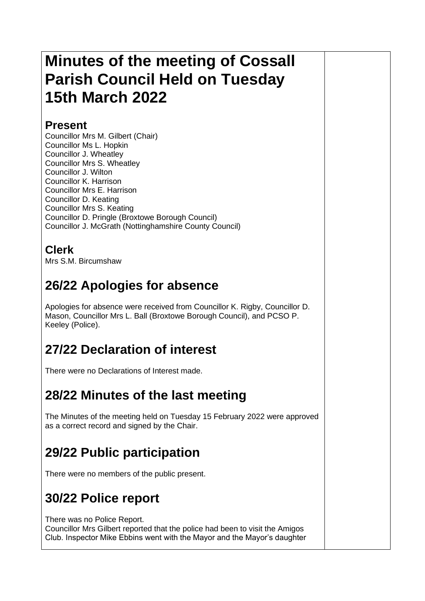# **Minutes of the meeting of Cossall Parish Council Held on Tuesday 15th March 2022**

#### **Present**

Councillor Mrs M. Gilbert (Chair) Councillor Ms L. Hopkin Councillor J. Wheatley Councillor Mrs S. Wheatley Councillor J. Wilton Councillor K. Harrison Councillor Mrs E. Harrison Councillor D. Keating Councillor Mrs S. Keating Councillor D. Pringle (Broxtowe Borough Council) Councillor J. McGrath (Nottinghamshire County Council)

#### **Clerk**

Mrs S.M. Bircumshaw

# **26/22 Apologies for absence**

Apologies for absence were received from Councillor K. Rigby, Councillor D. Mason, Councillor Mrs L. Ball (Broxtowe Borough Council), and PCSO P. Keeley (Police).

# **27/22 Declaration of interest**

There were no Declarations of Interest made.

### **28/22 Minutes of the last meeting**

The Minutes of the meeting held on Tuesday 15 February 2022 were approved as a correct record and signed by the Chair.

# **29/22 Public participation**

There were no members of the public present.

## **30/22 Police report**

There was no Police Report.

Councillor Mrs Gilbert reported that the police had been to visit the Amigos Club. Inspector Mike Ebbins went with the Mayor and the Mayor's daughter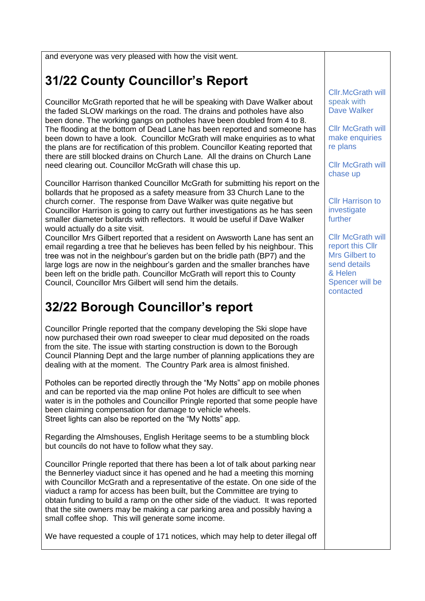and everyone was very pleased with how the visit went.

## **31/22 County Councillor's Report**

Councillor McGrath reported that he will be speaking with Dave Walker about the faded SLOW markings on the road. The drains and potholes have also been done. The working gangs on potholes have been doubled from 4 to 8. The flooding at the bottom of Dead Lane has been reported and someone has been down to have a look. Councillor McGrath will make enquiries as to what the plans are for rectification of this problem. Councillor Keating reported that there are still blocked drains on Church Lane. All the drains on Church Lane need clearing out. Councillor McGrath will chase this up.

Councillor Harrison thanked Councillor McGrath for submitting his report on the bollards that he proposed as a safety measure from 33 Church Lane to the church corner. The response from Dave Walker was quite negative but Councillor Harrison is going to carry out further investigations as he has seen smaller diameter bollards with reflectors. It would be useful if Dave Walker would actually do a site visit.

Councillor Mrs Gilbert reported that a resident on Awsworth Lane has sent an email regarding a tree that he believes has been felled by his neighbour. This tree was not in the neighbour's garden but on the bridle path (BP7) and the large logs are now in the neighbour's garden and the smaller branches have been left on the bridle path. Councillor McGrath will report this to County Council, Councillor Mrs Gilbert will send him the details.

### **32/22 Borough Councillor's report**

Councillor Pringle reported that the company developing the Ski slope have now purchased their own road sweeper to clear mud deposited on the roads from the site. The issue with starting construction is down to the Borough Council Planning Dept and the large number of planning applications they are dealing with at the moment. The Country Park area is almost finished.

Potholes can be reported directly through the "My Notts" app on mobile phones and can be reported via the map online Pot holes are difficult to see when water is in the potholes and Councillor Pringle reported that some people have been claiming compensation for damage to vehicle wheels. Street lights can also be reported on the "My Notts" app.

Regarding the Almshouses, English Heritage seems to be a stumbling block but councils do not have to follow what they say.

Councillor Pringle reported that there has been a lot of talk about parking near the Bennerley viaduct since it has opened and he had a meeting this morning with Councillor McGrath and a representative of the estate. On one side of the viaduct a ramp for access has been built, but the Committee are trying to obtain funding to build a ramp on the other side of the viaduct. It was reported that the site owners may be making a car parking area and possibly having a small coffee shop. This will generate some income.

We have requested a couple of 171 notices, which may help to deter illegal off

Cllr.McGrath will speak with Dave Walker

Cllr McGrath will make enquiries re plans

Cllr McGrath will chase up

Cllr Harrison to investigate further

**Cllr McGrath will** report this Cllr Mrs Gilbert to send details & Helen Spencer will be contacted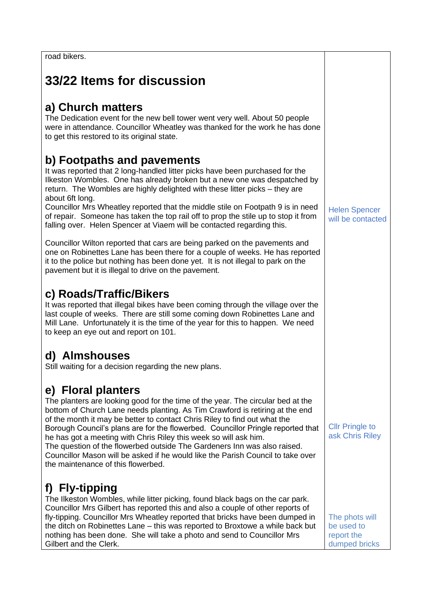road bikers.

## **33/22 Items for discussion**

#### **a) Church matters**

The Dedication event for the new bell tower went very well. About 50 people were in attendance. Councillor Wheatley was thanked for the work he has done to get this restored to its original state.

#### **b) Footpaths and pavements**

It was reported that 2 long-handled litter picks have been purchased for the Ilkeston Wombles. One has already broken but a new one was despatched by return. The Wombles are highly delighted with these litter picks – they are about 6ft long.

Councillor Mrs Wheatley reported that the middle stile on Footpath 9 is in need of repair. Someone has taken the top rail off to prop the stile up to stop it from falling over. Helen Spencer at Viaem will be contacted regarding this.

Councillor Wilton reported that cars are being parked on the pavements and one on Robinettes Lane has been there for a couple of weeks. He has reported it to the police but nothing has been done yet. It is not illegal to park on the pavement but it is illegal to drive on the pavement.

#### **c) Roads/Traffic/Bikers**

It was reported that illegal bikes have been coming through the village over the last couple of weeks. There are still some coming down Robinettes Lane and Mill Lane. Unfortunately it is the time of the year for this to happen. We need to keep an eye out and report on 101.

#### **d) Almshouses**

Still waiting for a decision regarding the new plans.

#### **e) Floral planters**

The planters are looking good for the time of the year. The circular bed at the bottom of Church Lane needs planting. As Tim Crawford is retiring at the end of the month it may be better to contact Chris Riley to find out what the Borough Council's plans are for the flowerbed. Councillor Pringle reported that he has got a meeting with Chris Riley this week so will ask him. The question of the flowerbed outside The Gardeners Inn was also raised. Councillor Mason will be asked if he would like the Parish Council to take over the maintenance of this flowerbed.

### **f) Fly-tipping**

The Ilkeston Wombles, while litter picking, found black bags on the car park. Councillor Mrs Gilbert has reported this and also a couple of other reports of fly-tipping. Councillor Mrs Wheatley reported that bricks have been dumped in the ditch on Robinettes Lane – this was reported to Broxtowe a while back but nothing has been done. She will take a photo and send to Councillor Mrs Gilbert and the Clerk.

Helen Spencer will be contacted

Cllr Pringle to ask Chris Riley

The phots will be used to report the dumped bricks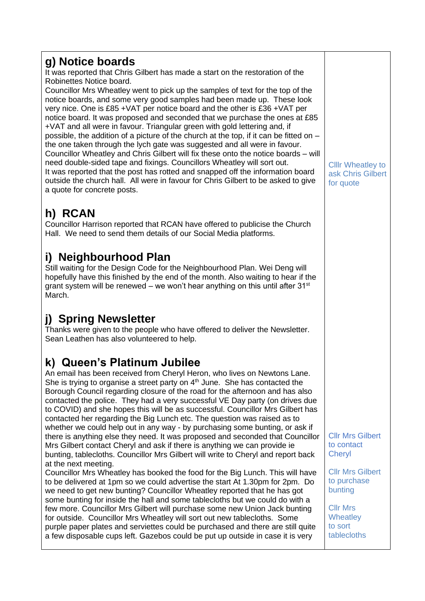#### **g) Notice boards**

It was reported that Chris Gilbert has made a start on the restoration of the Robinettes Notice board.

Councillor Mrs Wheatley went to pick up the samples of text for the top of the notice boards, and some very good samples had been made up. These look very nice. One is £85 +VAT per notice board and the other is £36 +VAT per notice board. It was proposed and seconded that we purchase the ones at £85 +VAT and all were in favour. Triangular green with gold lettering and, if possible, the addition of a picture of the church at the top, if it can be fitted on – the one taken through the lych gate was suggested and all were in favour. Councillor Wheatley and Chris Gilbert will fix these onto the notice boards – will need double-sided tape and fixings. Councillors Wheatley will sort out. It was reported that the post has rotted and snapped off the information board outside the church hall. All were in favour for Chris Gilbert to be asked to give a quote for concrete posts.

## **h) RCAN**

Councillor Harrison reported that RCAN have offered to publicise the Church Hall. We need to send them details of our Social Media platforms.

#### **i) Neighbourhood Plan**

Still waiting for the Design Code for the Neighbourhood Plan. Wei Deng will hopefully have this finished by the end of the month. Also waiting to hear if the grant system will be renewed – we won't hear anything on this until after  $31^{st}$ March.

### **j) Spring Newsletter**

Thanks were given to the people who have offered to deliver the Newsletter. Sean Leathen has also volunteered to help.

### **k) Queen's Platinum Jubilee**

An email has been received from Cheryl Heron, who lives on Newtons Lane. She is trying to organise a street party on  $4<sup>th</sup>$  June. She has contacted the Borough Council regarding closure of the road for the afternoon and has also contacted the police. They had a very successful VE Day party (on drives due to COVID) and she hopes this will be as successful. Councillor Mrs Gilbert has contacted her regarding the Big Lunch etc. The question was raised as to whether we could help out in any way - by purchasing some bunting, or ask if there is anything else they need. It was proposed and seconded that Councillor Mrs Gilbert contact Cheryl and ask if there is anything we can provide ie bunting, tablecloths. Councillor Mrs Gilbert will write to Cheryl and report back at the next meeting.

Councillor Mrs Wheatley has booked the food for the Big Lunch. This will have to be delivered at 1pm so we could advertise the start At 1.30pm for 2pm. Do we need to get new bunting? Councillor Wheatley reported that he has got some bunting for inside the hall and some tablecloths but we could do with a few more. Councillor Mrs Gilbert will purchase some new Union Jack bunting for outside. Councillor Mrs Wheatley will sort out new tablecloths. Some purple paper plates and serviettes could be purchased and there are still quite a few disposable cups left. Gazebos could be put up outside in case it is very

Clllr Wheatley to ask Chris Gilbert for quote

Cllr Mrs Gilbert to contact **Chervl** 

Cllr Mrs Gilbert to purchase bunting

Cllr Mrs **Wheatley** to sort tablecloths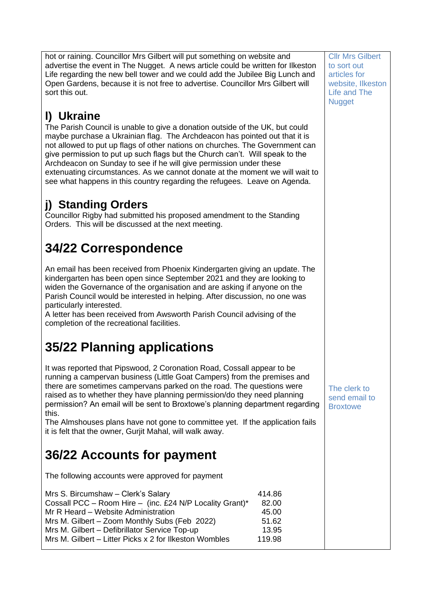hot or raining. Councillor Mrs Gilbert will put something on website and advertise the event in The Nugget. A news article could be written for Ilkeston Life regarding the new bell tower and we could add the Jubilee Big Lunch and Open Gardens, because it is not free to advertise. Councillor Mrs Gilbert will sort this out.

## **l) Ukraine**

The Parish Council is unable to give a donation outside of the UK, but could maybe purchase a Ukrainian flag. The Archdeacon has pointed out that it is not allowed to put up flags of other nations on churches. The Government can give permission to put up such flags but the Church can't. Will speak to the Archdeacon on Sunday to see if he will give permission under these extenuating circumstances. As we cannot donate at the moment we will wait to see what happens in this country regarding the refugees. Leave on Agenda.

## **j) Standing Orders**

Councillor Rigby had submitted his proposed amendment to the Standing Orders. This will be discussed at the next meeting.

# **34/22 Correspondence**

An email has been received from Phoenix Kindergarten giving an update. The kindergarten has been open since September 2021 and they are looking to widen the Governance of the organisation and are asking if anyone on the Parish Council would be interested in helping. After discussion, no one was particularly interested.

A letter has been received from Awsworth Parish Council advising of the completion of the recreational facilities.

## **35/22 Planning applications**

It was reported that Pipswood, 2 Coronation Road, Cossall appear to be running a campervan business (Little Goat Campers) from the premises and there are sometimes campervans parked on the road. The questions were raised as to whether they have planning permission/do they need planning permission? An email will be sent to Broxtowe's planning department regarding this.

The Almshouses plans have not gone to committee yet. If the application fails it is felt that the owner, Gurjit Mahal, will walk away.

## **36/22 Accounts for payment**

The following accounts were approved for payment

| Mrs S. Bircumshaw - Clerk's Salary                       | 414.86 |
|----------------------------------------------------------|--------|
| Cossall PCC - Room Hire - (inc. £24 N/P Locality Grant)* | 82.00  |
| Mr R Heard – Website Administration                      | 45.00  |
| Mrs M. Gilbert - Zoom Monthly Subs (Feb 2022)            | 51.62  |
| Mrs M. Gilbert - Defibrillator Service Top-up            | 13.95  |
| Mrs M. Gilbert - Litter Picks x 2 for Ilkeston Wombles   | 119.98 |
|                                                          |        |

Cllr Mrs Gilbert to sort out articles for website, Ilkeston Life and The **Nugget** 

The clerk to send email to **Broxtowe**